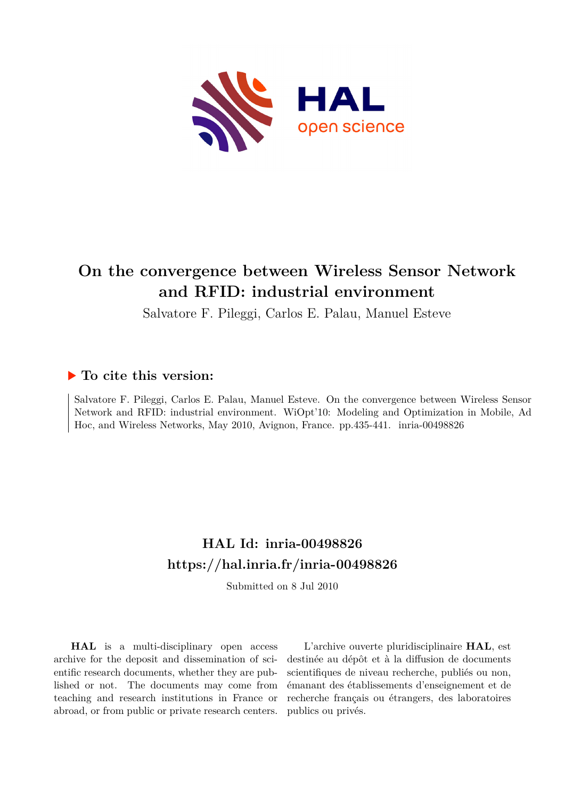

## **On the convergence between Wireless Sensor Network and RFID: industrial environment**

Salvatore F. Pileggi, Carlos E. Palau, Manuel Esteve

### **To cite this version:**

Salvatore F. Pileggi, Carlos E. Palau, Manuel Esteve. On the convergence between Wireless Sensor Network and RFID: industrial environment. WiOpt'10: Modeling and Optimization in Mobile, Ad Hoc, and Wireless Networks, May 2010, Avignon, France. pp.435-441. inria-00498826

## **HAL Id: inria-00498826 <https://hal.inria.fr/inria-00498826>**

Submitted on 8 Jul 2010

**HAL** is a multi-disciplinary open access archive for the deposit and dissemination of scientific research documents, whether they are published or not. The documents may come from teaching and research institutions in France or abroad, or from public or private research centers.

L'archive ouverte pluridisciplinaire **HAL**, est destinée au dépôt et à la diffusion de documents scientifiques de niveau recherche, publiés ou non, émanant des établissements d'enseignement et de recherche français ou étrangers, des laboratoires publics ou privés.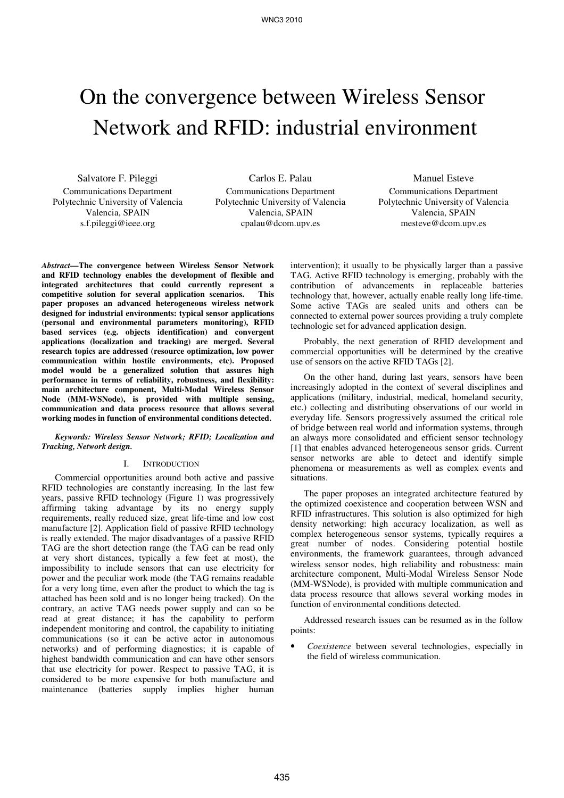# On the convergence between Wireless Sensor Network and RFID: industrial environment

Salvatore F. Pileggi Communications Department Polytechnic University of Valencia Valencia, SPAIN s.f.pileggi@ieee.org

Carlos E. Palau Communications Department Polytechnic University of Valencia Valencia, SPAIN cpalau@dcom.upv.es

Manuel Esteve Communications Department Polytechnic University of Valencia Valencia, SPAIN mesteve@dcom.upv.es

*Abstract***—The convergence between Wireless Sensor Network and RFID technology enables the development of flexible and integrated architectures that could currently represent a competitive solution for several application scenarios. This paper proposes an advanced heterogeneous wireless network designed for industrial environments: typical sensor applications (personal and environmental parameters monitoring), RFID based services (e.g. objects identification) and convergent applications (localization and tracking) are merged. Several research topics are addressed (resource optimization, low power communication within hostile environments, etc). Proposed model would be a generalized solution that assures high performance in terms of reliability, robustness, and flexibility: main architecture component, Multi-Modal Wireless Sensor Node (MM-WSNode), is provided with multiple sensing, communication and data process resource that allows several working modes in function of environmental conditions detected.** 

*Keywords: Wireless Sensor Network; RFID; Localization and Tracking, Network design.* 

#### I. INTRODUCTION

Commercial opportunities around both active and passive RFID technologies are constantly increasing. In the last few years, passive RFID technology (Figure 1) was progressively affirming taking advantage by its no energy supply requirements, really reduced size, great life-time and low cost manufacture [2]. Application field of passive RFID technology is really extended. The major disadvantages of a passive RFID TAG are the short detection range (the TAG can be read only at very short distances, typically a few feet at most), the impossibility to include sensors that can use electricity for power and the peculiar work mode (the TAG remains readable for a very long time, even after the product to which the tag is attached has been sold and is no longer being tracked). On the contrary, an active TAG needs power supply and can so be read at great distance; it has the capability to perform independent monitoring and control, the capability to initiating communications (so it can be active actor in autonomous networks) and of performing diagnostics; it is capable of highest bandwidth communication and can have other sensors that use electricity for power. Respect to passive TAG, it is considered to be more expensive for both manufacture and maintenance (batteries supply implies higher human

intervention); it usually to be physically larger than a passive TAG. Active RFID technology is emerging, probably with the contribution of advancements in replaceable batteries technology that, however, actually enable really long life-time. Some active TAGs are sealed units and others can be connected to external power sources providing a truly complete technologic set for advanced application design.

Probably, the next generation of RFID development and commercial opportunities will be determined by the creative use of sensors on the active RFID TAGs [2].

On the other hand, during last years, sensors have been increasingly adopted in the context of several disciplines and applications (military, industrial, medical, homeland security, etc.) collecting and distributing observations of our world in everyday life. Sensors progressively assumed the critical role of bridge between real world and information systems, through an always more consolidated and efficient sensor technology [1] that enables advanced heterogeneous sensor grids. Current sensor networks are able to detect and identify simple phenomena or measurements as well as complex events and situations.

The paper proposes an integrated architecture featured by the optimized coexistence and cooperation between WSN and RFID infrastructures. This solution is also optimized for high density networking: high accuracy localization, as well as complex heterogeneous sensor systems, typically requires a great number of nodes. Considering potential hostile environments, the framework guarantees, through advanced wireless sensor nodes, high reliability and robustness: main architecture component, Multi-Modal Wireless Sensor Node (MM-WSNode), is provided with multiple communication and data process resource that allows several working modes in function of environmental conditions detected.

Addressed research issues can be resumed as in the follow points:

• *Coexistence* between several technologies, especially in the field of wireless communication.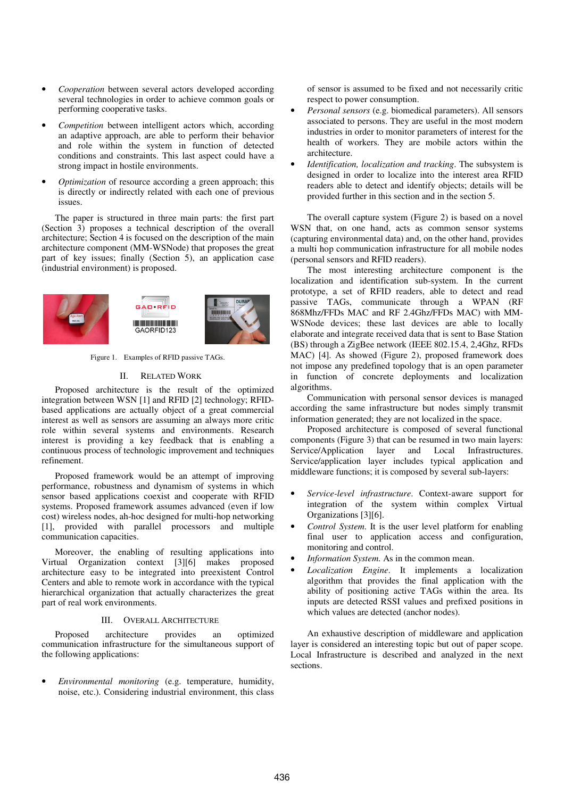- *Cooperation* between several actors developed according several technologies in order to achieve common goals or performing cooperative tasks.
- *Competition* between intelligent actors which, according an adaptive approach, are able to perform their behavior and role within the system in function of detected conditions and constraints. This last aspect could have a strong impact in hostile environments.
- *Optimization* of resource according a green approach; this is directly or indirectly related with each one of previous issues.

The paper is structured in three main parts: the first part (Section 3) proposes a technical description of the overall architecture; Section 4 is focused on the description of the main architecture component (MM-WSNode) that proposes the great part of key issues; finally (Section 5), an application case (industrial environment) is proposed.



Figure 1. Examples of RFID passive TAGs.

#### II. RELATED WORK

Proposed architecture is the result of the optimized integration between WSN [1] and RFID [2] technology; RFIDbased applications are actually object of a great commercial interest as well as sensors are assuming an always more critic role within several systems and environments. Research interest is providing a key feedback that is enabling a continuous process of technologic improvement and techniques refinement.

Proposed framework would be an attempt of improving performance, robustness and dynamism of systems in which sensor based applications coexist and cooperate with RFID systems. Proposed framework assumes advanced (even if low cost) wireless nodes, ah-hoc designed for multi-hop networking [1], provided with parallel processors and multiple communication capacities.

Moreover, the enabling of resulting applications into Virtual Organization context [3][6] makes proposed architecture easy to be integrated into preexistent Control Centers and able to remote work in accordance with the typical hierarchical organization that actually characterizes the great part of real work environments.

#### III. OVERALL ARCHITECTURE

Proposed architecture provides an optimized communication infrastructure for the simultaneous support of the following applications:

• *Environmental monitoring* (e.g. temperature, humidity, noise, etc.). Considering industrial environment, this class of sensor is assumed to be fixed and not necessarily critic respect to power consumption.

- *Personal sensors* (e.g. biomedical parameters). All sensors associated to persons. They are useful in the most modern industries in order to monitor parameters of interest for the health of workers. They are mobile actors within the architecture.
- *Identification, localization and tracking*. The subsystem is designed in order to localize into the interest area RFID readers able to detect and identify objects; details will be provided further in this section and in the section 5.

The overall capture system (Figure 2) is based on a novel WSN that, on one hand, acts as common sensor systems (capturing environmental data) and, on the other hand, provides a multi hop communication infrastructure for all mobile nodes (personal sensors and RFID readers).

The most interesting architecture component is the localization and identification sub-system. In the current prototype, a set of RFID readers, able to detect and read passive TAGs, communicate through a WPAN (RF 868Mhz/FFDs MAC and RF 2.4Ghz/FFDs MAC) with MM-WSNode devices; these last devices are able to locally elaborate and integrate received data that is sent to Base Station (BS) through a ZigBee network (IEEE 802.15.4, 2,4Ghz, RFDs MAC) [4]. As showed (Figure 2), proposed framework does not impose any predefined topology that is an open parameter in function of concrete deployments and localization algorithms.

Communication with personal sensor devices is managed according the same infrastructure but nodes simply transmit information generated; they are not localized in the space.

Proposed architecture is composed of several functional components (Figure 3) that can be resumed in two main layers: Service/Application layer and Local Infrastructures. Service/application layer includes typical application and middleware functions; it is composed by several sub-layers:

- *Service-level infrastructure*. Context-aware support for integration of the system within complex Virtual Organizations [3][6].
- *Control System*. It is the user level platform for enabling final user to application access and configuration, monitoring and control.
- *Information System*. As in the common mean.
- *Localization Engine*. It implements a localization algorithm that provides the final application with the ability of positioning active TAGs within the area. Its inputs are detected RSSI values and prefixed positions in which values are detected (anchor nodes).

An exhaustive description of middleware and application layer is considered an interesting topic but out of paper scope. Local Infrastructure is described and analyzed in the next sections.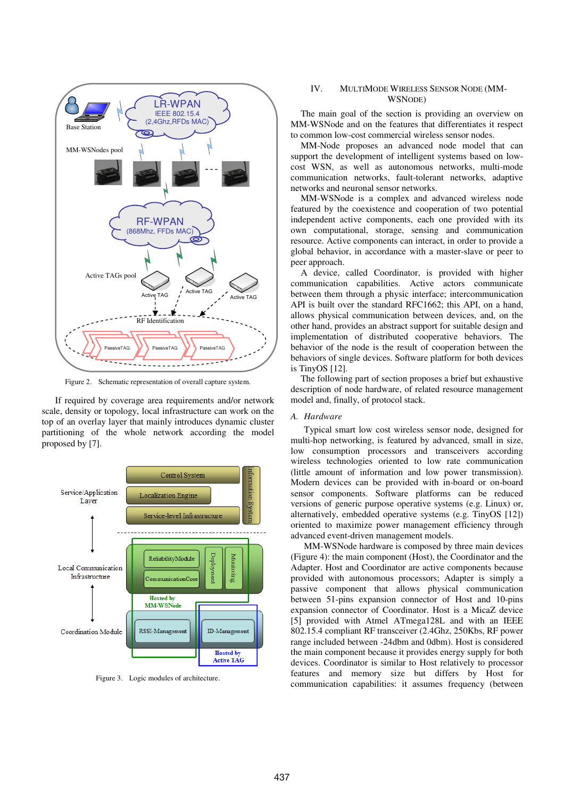

Figure 2. Schematic representation of overall capture system.

If required by coverage area requirements and/or network scale, density or topology, local infrastructure can work on the top of an overlay layer that mainly introduces dynamic cluster partitioning of the whole network according the model proposed by [7].



Figure 3. Logic modules of architecture.

#### IV. MULTIMODE WIRELESS SENSOR NODE (MM-WSNODE)

The main goal of the section is providing an overview on MM-WSNode and on the features that differentiates it respect to common low-cost commercial wireless sensor nodes.

MM-Node proposes an advanced node model that can support the development of intelligent systems based on lowcost WSN, as well as autonomous networks, multi-mode communication networks, fault-tolerant networks, adaptive networks and neuronal sensor networks.

MM-WSNode is a complex and advanced wireless node featured by the coexistence and cooperation of two potential independent active components, each one provided with its own computational, storage, sensing and communication resource. Active components can interact, in order to provide a global behavior, in accordance with a master-slave or peer to peer approach.

A device, called Coordinator, is provided with higher communication capabilities. Active actors communicate between them through a physic interface; intercommunication API is built over the standard RFC1662; this API, on a hand, allows physical communication between devices, and, on the other hand, provides an abstract support for suitable design and implementation of distributed cooperative behaviors. The behavior of the node is the result of cooperation between the behaviors of single devices. Software platform for both devices is TinyOS [12].

The following part of section proposes a brief but exhaustive description of node hardware, of related resource management model and, finally, of protocol stack.

#### *A. Hardware*

Typical smart low cost wireless sensor node, designed for multi-hop networking, is featured by advanced, small in size, low consumption processors and transceivers according wireless technologies oriented to low rate communication (little amount of information and low power transmission). Modern devices can be provided with in-board or on-board sensor components. Software platforms can be reduced versions of generic purpose operative systems (e.g. Linux) or, alternatively, embedded operative systems (e.g. TinyOS [12]) oriented to maximize power management efficiency through advanced event-driven management models.

MM-WSNode hardware is composed by three main devices (Figure 4): the main component (Host), the Coordinator and the Adapter. Host and Coordinator are active components because provided with autonomous processors; Adapter is simply a passive component that allows physical communication between 51-pins expansion connector of Host and 10-pins expansion connector of Coordinator. Host is a MicaZ device [5] provided with Atmel ATmega128L and with an IEEE 802.15.4 compliant RF transceiver (2.4Ghz, 250Kbs, RF power range included between -24dbm and 0dbm). Host is considered the main component because it provides energy supply for both devices. Coordinator is similar to Host relatively to processor features and memory size but differs by Host for communication capabilities: it assumes frequency (between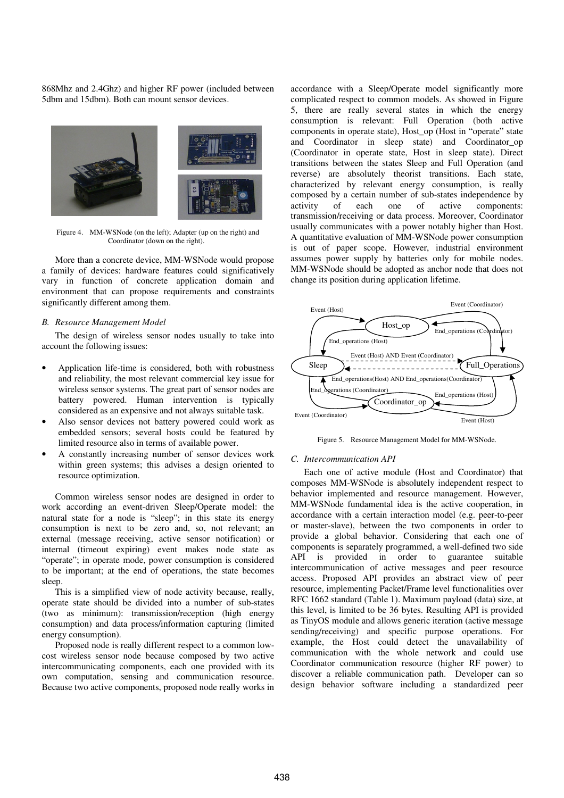868Mhz and 2.4Ghz) and higher RF power (included between 5dbm and 15dbm). Both can mount sensor devices.



Figure 4. MM-WSNode (on the left); Adapter (up on the right) and Coordinator (down on the right).

More than a concrete device, MM-WSNode would propose a family of devices: hardware features could significatively vary in function of concrete application domain and environment that can propose requirements and constraints significantly different among them.

#### *B. Resource Management Model*

The design of wireless sensor nodes usually to take into account the following issues:

- Application life-time is considered, both with robustness and reliability, the most relevant commercial key issue for wireless sensor systems. The great part of sensor nodes are battery powered. Human intervention is typically considered as an expensive and not always suitable task.
- Also sensor devices not battery powered could work as embedded sensors; several hosts could be featured by limited resource also in terms of available power.
- A constantly increasing number of sensor devices work within green systems; this advises a design oriented to resource optimization.

Common wireless sensor nodes are designed in order to work according an event-driven Sleep/Operate model: the natural state for a node is "sleep"; in this state its energy consumption is next to be zero and, so, not relevant; an external (message receiving, active sensor notification) or internal (timeout expiring) event makes node state as "operate"; in operate mode, power consumption is considered to be important; at the end of operations, the state becomes sleep.

This is a simplified view of node activity because, really, operate state should be divided into a number of sub-states (two as minimum): transmission/reception (high energy consumption) and data process/information capturing (limited energy consumption).

Proposed node is really different respect to a common lowcost wireless sensor node because composed by two active intercommunicating components, each one provided with its own computation, sensing and communication resource. Because two active components, proposed node really works in accordance with a Sleep/Operate model significantly more complicated respect to common models. As showed in Figure 5, there are really several states in which the energy consumption is relevant: Full Operation (both active components in operate state), Host\_op (Host in "operate" state and Coordinator in sleep state) and Coordinator\_op (Coordinator in operate state, Host in sleep state). Direct transitions between the states Sleep and Full Operation (and reverse) are absolutely theorist transitions. Each state, characterized by relevant energy consumption, is really composed by a certain number of sub-states independence by activity of each one of active components: activity of each one of active components: transmission/receiving or data process. Moreover, Coordinator usually communicates with a power notably higher than Host. A quantitative evaluation of MM-WSNode power consumption is out of paper scope. However, industrial environment assumes power supply by batteries only for mobile nodes. MM-WSNode should be adopted as anchor node that does not change its position during application lifetime.



Figure 5. Resource Management Model for MM-WSNode.

#### *C. Intercommunication API*

Each one of active module (Host and Coordinator) that composes MM-WSNode is absolutely independent respect to behavior implemented and resource management. However, MM-WSNode fundamental idea is the active cooperation, in accordance with a certain interaction model (e.g. peer-to-peer or master-slave), between the two components in order to provide a global behavior. Considering that each one of components is separately programmed, a well-defined two side API is provided in order to guarantee suitable intercommunication of active messages and peer resource access. Proposed API provides an abstract view of peer resource, implementing Packet/Frame level functionalities over RFC 1662 standard (Table 1). Maximum payload (data) size, at this level, is limited to be 36 bytes. Resulting API is provided as TinyOS module and allows generic iteration (active message sending/receiving) and specific purpose operations. For example, the Host could detect the unavailability of communication with the whole network and could use Coordinator communication resource (higher RF power) to discover a reliable communication path. Developer can so design behavior software including a standardized peer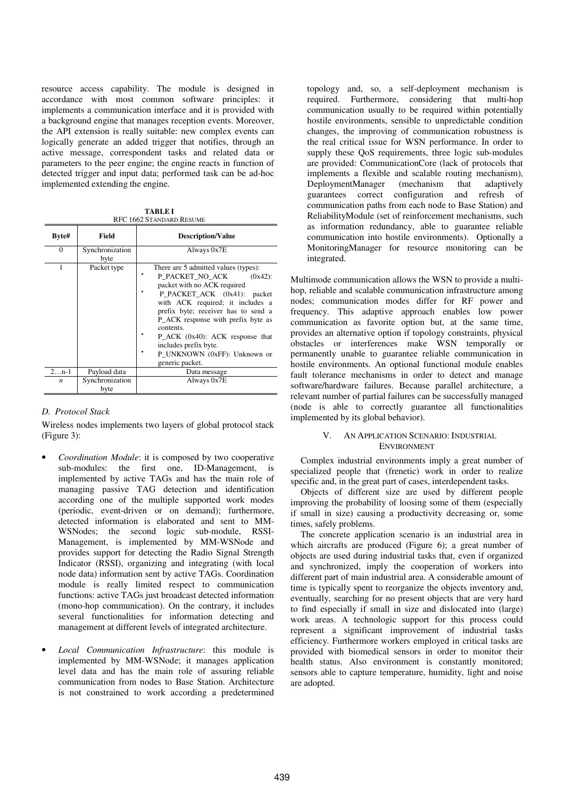resource access capability. The module is designed in accordance with most common software principles: it implements a communication interface and it is provided with a background engine that manages reception events. Moreover, the API extension is really suitable: new complex events can logically generate an added trigger that notifies, through an active message, correspondent tasks and related data or parameters to the peer engine; the engine reacts in function of detected trigger and input data; performed task can be ad-hoc implemented extending the engine.

**TABLE I**  RFC 1662 STANDARD RESUME

| Byte#    | Field                   | <b>Description/Value</b>                                                                                                                                                                                                                                                                                                                                                             |
|----------|-------------------------|--------------------------------------------------------------------------------------------------------------------------------------------------------------------------------------------------------------------------------------------------------------------------------------------------------------------------------------------------------------------------------------|
| $\Omega$ | Synchronization<br>byte | Always 0x7E                                                                                                                                                                                                                                                                                                                                                                          |
|          | Packet type             | There are 5 admitted values (types):<br>P PACKET NO ACK<br>$(0x42)$ :<br>packet with no ACK required<br>P_PACKET_ACK (0x41): packet<br>with ACK required; it includes a<br>prefix byte; receiver has to send a<br>P_ACK response with prefix byte as<br>contents.<br>$P_{ACK}$ (0x40): ACK response that<br>includes prefix byte.<br>P UNKNOWN (0xFF): Unknown or<br>generic packet. |
| $2n-1$   | Payload data            | Data message                                                                                                                                                                                                                                                                                                                                                                         |
| n        | Synchronization<br>byte | Always 0x7E                                                                                                                                                                                                                                                                                                                                                                          |

#### *D. Protocol Stack*

Wireless nodes implements two layers of global protocol stack (Figure 3):

- *Coordination Module*: it is composed by two cooperative sub-modules: the first one, ID-Management, is implemented by active TAGs and has the main role of managing passive TAG detection and identification according one of the multiple supported work modes (periodic, event-driven or on demand); furthermore, detected information is elaborated and sent to MM-WSNodes; the second logic sub-module, RSSI-Management, is implemented by MM-WSNode and provides support for detecting the Radio Signal Strength Indicator (RSSI), organizing and integrating (with local node data) information sent by active TAGs. Coordination module is really limited respect to communication functions: active TAGs just broadcast detected information (mono-hop communication). On the contrary, it includes several functionalities for information detecting and management at different levels of integrated architecture.
- *Local Communication Infrastructure*: this module is implemented by MM-WSNode; it manages application level data and has the main role of assuring reliable communication from nodes to Base Station. Architecture is not constrained to work according a predetermined

topology and, so, a self-deployment mechanism is required. Furthermore, considering that multi-hop communication usually to be required within potentially hostile environments, sensible to unpredictable condition changes, the improving of communication robustness is the real critical issue for WSN performance. In order to supply these QoS requirements, three logic sub-modules are provided: CommunicationCore (lack of protocols that implements a flexible and scalable routing mechanism), DeploymentManager (mechanism that adaptively guarantees correct configuration and refresh of communication paths from each node to Base Station) and ReliabilityModule (set of reinforcement mechanisms, such as information redundancy, able to guarantee reliable communication into hostile environments). Optionally a MonitoringManager for resource monitoring can be integrated.

Multimode communication allows the WSN to provide a multihop, reliable and scalable communication infrastructure among nodes; communication modes differ for RF power and frequency. This adaptive approach enables low power communication as favorite option but, at the same time, provides an alternative option if topology constraints, physical obstacles or interferences make WSN temporally or permanently unable to guarantee reliable communication in hostile environments. An optional functional module enables fault tolerance mechanisms in order to detect and manage software/hardware failures. Because parallel architecture, a relevant number of partial failures can be successfully managed (node is able to correctly guarantee all functionalities implemented by its global behavior).

#### V. AN APPLICATION SCENARIO: INDUSTRIAL ENVIRONMENT

Complex industrial environments imply a great number of specialized people that (frenetic) work in order to realize specific and, in the great part of cases, interdependent tasks.

Objects of different size are used by different people improving the probability of loosing some of them (especially if small in size) causing a productivity decreasing or, some times, safely problems.

The concrete application scenario is an industrial area in which aircrafts are produced (Figure 6); a great number of objects are used during industrial tasks that, even if organized and synchronized, imply the cooperation of workers into different part of main industrial area. A considerable amount of time is typically spent to reorganize the objects inventory and, eventually, searching for no present objects that are very hard to find especially if small in size and dislocated into (large) work areas. A technologic support for this process could represent a significant improvement of industrial tasks efficiency. Furthermore workers employed in critical tasks are provided with biomedical sensors in order to monitor their health status. Also environment is constantly monitored; sensors able to capture temperature, humidity, light and noise are adopted.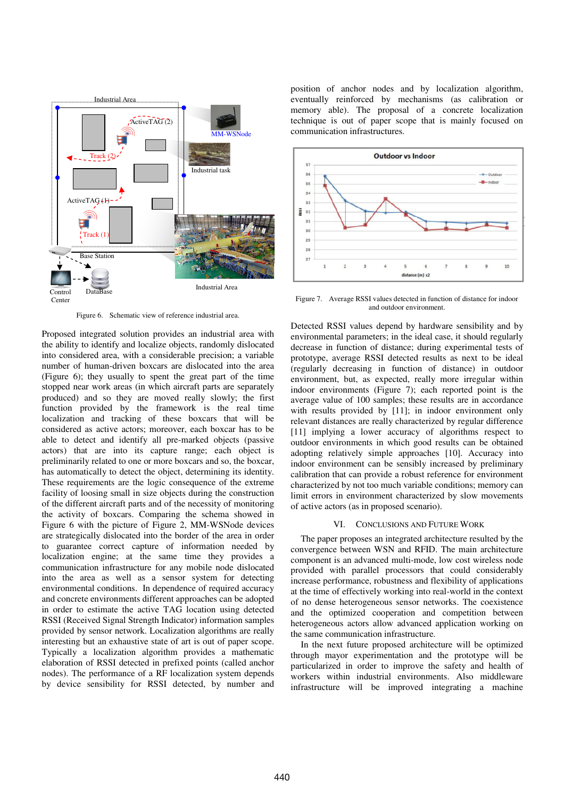

Figure 6. Schematic view of reference industrial area.

Proposed integrated solution provides an industrial area with the ability to identify and localize objects, randomly dislocated into considered area, with a considerable precision; a variable number of human-driven boxcars are dislocated into the area (Figure 6); they usually to spent the great part of the time stopped near work areas (in which aircraft parts are separately produced) and so they are moved really slowly; the first function provided by the framework is the real time localization and tracking of these boxcars that will be considered as active actors; moreover, each boxcar has to be able to detect and identify all pre-marked objects (passive actors) that are into its capture range; each object is preliminarily related to one or more boxcars and so, the boxcar, has automatically to detect the object, determining its identity. These requirements are the logic consequence of the extreme facility of loosing small in size objects during the construction of the different aircraft parts and of the necessity of monitoring the activity of boxcars. Comparing the schema showed in Figure 6 with the picture of Figure 2, MM-WSNode devices are strategically dislocated into the border of the area in order to guarantee correct capture of information needed by localization engine; at the same time they provides a communication infrastructure for any mobile node dislocated into the area as well as a sensor system for detecting environmental conditions. In dependence of required accuracy and concrete environments different approaches can be adopted in order to estimate the active TAG location using detected RSSI (Received Signal Strength Indicator) information samples provided by sensor network. Localization algorithms are really interesting but an exhaustive state of art is out of paper scope. Typically a localization algorithm provides a mathematic elaboration of RSSI detected in prefixed points (called anchor nodes). The performance of a RF localization system depends by device sensibility for RSSI detected, by number and

position of anchor nodes and by localization algorithm, eventually reinforced by mechanisms (as calibration or memory able). The proposal of a concrete localization technique is out of paper scope that is mainly focused on communication infrastructures.



Figure 7. Average RSSI values detected in function of distance for indoor and outdoor environment.

Detected RSSI values depend by hardware sensibility and by environmental parameters; in the ideal case, it should regularly decrease in function of distance; during experimental tests of prototype, average RSSI detected results as next to be ideal (regularly decreasing in function of distance) in outdoor environment, but, as expected, really more irregular within indoor environments (Figure 7); each reported point is the average value of 100 samples; these results are in accordance with results provided by [11]; in indoor environment only relevant distances are really characterized by regular difference [11] implying a lower accuracy of algorithms respect to outdoor environments in which good results can be obtained adopting relatively simple approaches [10]. Accuracy into indoor environment can be sensibly increased by preliminary calibration that can provide a robust reference for environment characterized by not too much variable conditions; memory can limit errors in environment characterized by slow movements of active actors (as in proposed scenario).

#### VI. CONCLUSIONS AND FUTURE WORK

The paper proposes an integrated architecture resulted by the convergence between WSN and RFID. The main architecture component is an advanced multi-mode, low cost wireless node provided with parallel processors that could considerably increase performance, robustness and flexibility of applications at the time of effectively working into real-world in the context of no dense heterogeneous sensor networks. The coexistence and the optimized cooperation and competition between heterogeneous actors allow advanced application working on the same communication infrastructure.

In the next future proposed architecture will be optimized through mayor experimentation and the prototype will be particularized in order to improve the safety and health of workers within industrial environments. Also middleware infrastructure will be improved integrating a machine